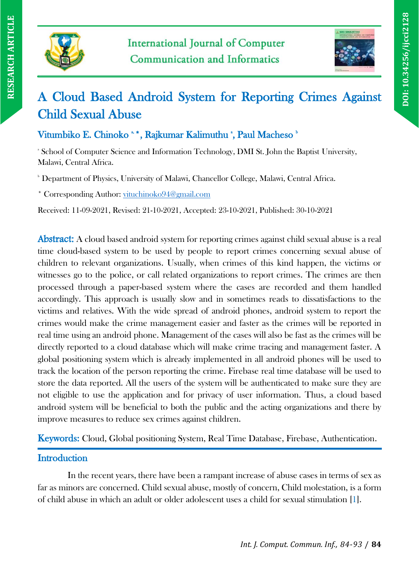



# A Cloud Based Android System for Reporting Crimes Against Child Sexual Abuse

Vitumbiko E. Chinoko \*\*, Rajkumar Kalimuthu \*, Paul Macheso \*

<sup>\*</sup> School of Computer Science and Information Technology, DMI St. John the Baptist University, Malawi, Central Africa.

<sup>b</sup> Department of Physics, University of Malawi, Chancellor College, Malawi, Central Africa.

\* Corresponding Author: [vituchinoko94@gmail.com](mailto:vituchinoko94@gmail.com)

Received: 11-09-2021, Revised: 21-10-2021, Accepted: 23-10-2021, Published: 30-10-2021

Abstract: A cloud based android system for reporting crimes against child sexual abuse is a real time cloud-based system to be used by people to report crimes concerning sexual abuse of children to relevant organizations. Usually, when crimes of this kind happen, the victims or witnesses go to the police, or call related organizations to report crimes. The crimes are then processed through a paper-based system where the cases are recorded and them handled accordingly. This approach is usually slow and in sometimes reads to dissatisfactions to the victims and relatives. With the wide spread of android phones, android system to report the crimes would make the crime management easier and faster as the crimes will be reported in real time using an android phone. Management of the cases will also be fast as the crimes will be directly reported to a cloud database which will make crime tracing and management faster. A global positioning system which is already implemented in all android phones will be used to track the location of the person reporting the crime. Firebase real time database will be used to store the data reported. All the users of the system will be authenticated to make sure they are not eligible to use the application and for privacy of user information. Thus, a cloud based android system will be beneficial to both the public and the acting organizations and there by improve measures to reduce sex crimes against children.

Keywords: Cloud, Global positioning System, Real Time Database, Firebase, Authentication.

# **Introduction**

In the recent years, there have been a rampant increase of abuse cases in terms of sex as far as minors are concerned. Child sexual abuse, mostly of concern, Child molestation, is a form of child abuse in which an adult or older adolescent uses a child for sexual stimulation [1].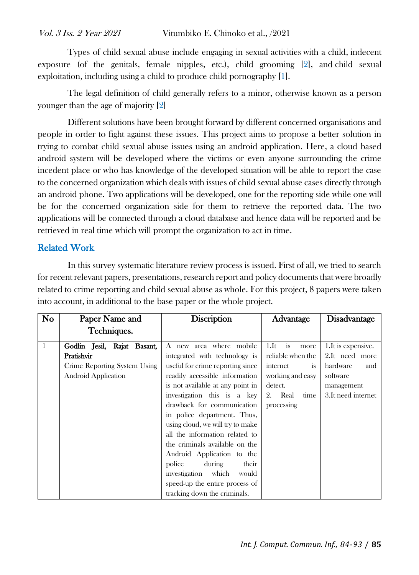Types of child sexual abuse include engaging in sexual activities with a child, indecent exposure (of the genitals, female nipples, etc.), child grooming [2], and child sexual exploitation, including using a child to produce child pornography [1].

The legal definition of child generally refers to a minor, otherwise known as a person younger than the age of majority [2]

Different solutions have been brought forward by different concerned organisations and people in order to fight against these issues. This project aims to propose a better solution in trying to combat child sexual abuse issues using an android application. Here, a cloud based android system will be developed where the victims or even anyone surrounding the crime incedent place or who has knowledge of the developed situation will be able to report the case to the concerned organization which deals with issues of child sexual abuse cases directly through an android phone. Two applications will be developed, one for the reporting side while one will be for the concerned organization side for them to retrieve the reported data. The two applications will be connected through a cloud database and hence data will be reported and be retrieved in real time which will prompt the organization to act in time.

# Related Work

In this survey systematic literature review process is issued. First of all, we tried to search for recent relevant papers, presentations, research report and policy documents that were broadly related to crime reporting and child sexual abuse as whole. For this project, 8 papers were taken into account, in additional to the base paper or the whole project.

| <b>No</b>    | Paper Name and                                                                                   | <b>Discription</b>                                                                                                                                                                                                                                                                                 | Advantage                                                                                                                 | <b>Disadvantage</b>                                                                                       |
|--------------|--------------------------------------------------------------------------------------------------|----------------------------------------------------------------------------------------------------------------------------------------------------------------------------------------------------------------------------------------------------------------------------------------------------|---------------------------------------------------------------------------------------------------------------------------|-----------------------------------------------------------------------------------------------------------|
|              | Techniques.                                                                                      |                                                                                                                                                                                                                                                                                                    |                                                                                                                           |                                                                                                           |
| $\mathbf{1}$ | Godlin Jesil, Rajat Basant,<br>Pratishvir<br>Crime Reporting System Using<br>Android Application | A new area where mobile<br>integrated with technology is<br>useful for crime reporting since<br>readily accessible information<br>is not available at any point in<br>investigation this is a key<br>drawback for communication<br>in police department. Thus,<br>using cloud, we will try to make | is<br>1.Ht<br>more<br>reliable when the<br>internet<br>1S<br>working and easy<br>detect.<br>2. Real<br>time<br>processing | 1. It is expensive.<br>2.It need more<br>hardware<br>and<br>software<br>management<br>3. It need internet |
|              |                                                                                                  | all the information related to<br>the criminals available on the<br>Android Application to the<br>police<br>during<br>their<br>investigation<br>which<br>would<br>speed-up the entire process of<br>tracking down the criminals.                                                                   |                                                                                                                           |                                                                                                           |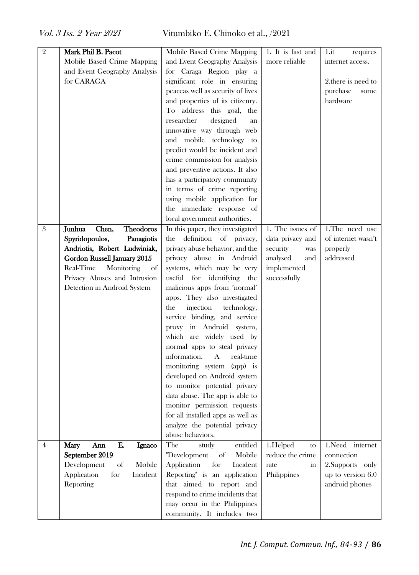| $\mathbf 2$      | Mark Phil B. Pacot                  | Mobile Based Crime Mapping                                      | 1. It is fast and | $1$ .it<br>requires |
|------------------|-------------------------------------|-----------------------------------------------------------------|-------------------|---------------------|
|                  | Mobile Based Crime Mapping          | and Event Geography Analysis                                    | more reliable     | internet access.    |
|                  | and Event Geography Analysis        | for Caraga Region play a                                        |                   |                     |
|                  | for CARAGA                          | significant role in ensuring                                    |                   | 2. there is need to |
|                  |                                     | peaceas well as security of lives                               |                   | purchase<br>some    |
|                  |                                     | and properties of its citizenry.                                |                   | hardware            |
|                  |                                     | To address this goal,<br>the                                    |                   |                     |
|                  |                                     | researcher<br>designed<br>an                                    |                   |                     |
|                  |                                     | innovative way through web                                      |                   |                     |
|                  |                                     | and mobile technology to                                        |                   |                     |
|                  |                                     | predict would be incident and                                   |                   |                     |
|                  |                                     | crime commission for analysis                                   |                   |                     |
|                  |                                     | and preventive actions. It also                                 |                   |                     |
|                  |                                     | has a participatory community                                   |                   |                     |
|                  |                                     | in terms of crime reporting                                     |                   |                     |
|                  |                                     | using mobile application for                                    |                   |                     |
|                  |                                     | the immediate response of                                       |                   |                     |
|                  |                                     | local government authorities.                                   |                   |                     |
| $\boldsymbol{3}$ | <b>Theodoros</b><br>Junhua<br>Chen, | In this paper, they investigated                                | 1. The issues of  | 1.The need use      |
|                  | Spyridopoulos,<br>Panagiotis        | definition of privacy,<br>the                                   | data privacy and  | of internet wasn't  |
|                  | Andriotis, Robert Ludwiniak,        | privacy abuse behavior, and the                                 | security<br>was   | properly            |
|                  | Gordon Russell January 2015         | privacy abuse in Android                                        | analysed<br>and   | addressed           |
|                  | Real-Time<br>Monitoring<br>of       | systems, which may be very                                      | implemented       |                     |
|                  | Privacy Abuses and Intrusion        | useful for identifying<br>the                                   | successfully      |                     |
|                  | Detection in Android System         | malicious apps from 'normal'                                    |                   |                     |
|                  |                                     | apps. They also investigated                                    |                   |                     |
|                  |                                     | injection<br>the<br>technology,<br>service binding, and service |                   |                     |
|                  |                                     | proxy in Android system,                                        |                   |                     |
|                  |                                     | which are widely used by                                        |                   |                     |
|                  |                                     | normal apps to steal privacy                                    |                   |                     |
|                  |                                     | information.<br>$\mathbf{A}$<br>real-time                       |                   |                     |
|                  |                                     | monitoring system (app) is                                      |                   |                     |
|                  |                                     | developed on Android system                                     |                   |                     |
|                  |                                     | to monitor potential privacy                                    |                   |                     |
|                  |                                     | data abuse. The app is able to                                  |                   |                     |
|                  |                                     |                                                                 |                   |                     |
|                  |                                     | monitor permission requests                                     |                   |                     |
|                  |                                     | for all installed apps as well as                               |                   |                     |
|                  |                                     | analyze the potential privacy                                   |                   |                     |
|                  |                                     | abuse behaviors.                                                |                   |                     |
| 4                | E.<br>Mary<br>Ann<br>Ignaco         | The<br>study<br>entitled                                        | 1.Helped<br>to    | $1.$ Need internet  |
|                  | September 2019                      | "Development<br>of<br>Mobile                                    | reduce the crime  | connection          |
|                  | Development<br>of<br>Mobile         | Application<br>for<br>Incident                                  | rate<br>in        | 2.Supports only     |
|                  | for<br>Application<br>Incident      | Reporting" is an application                                    | Philippines       | up to version $6.0$ |
|                  | Reporting                           | that aimed to report and                                        |                   | android phones      |
|                  |                                     | respond to crime incidents that<br>may occur in the Philippines |                   |                     |
|                  |                                     |                                                                 |                   |                     |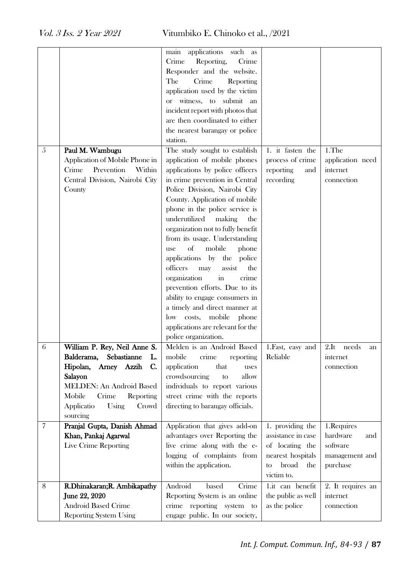| 5              | Paul M. Wambugu<br>Application of Mobile Phone in<br>Crime<br>Prevention<br>Within<br>Central Division, Nairobi City<br>County                                                                                             | main applications such as<br>Crime<br>Reporting,<br>Crime<br>Responder and the website.<br>Crime<br>The<br>Reporting<br>application used by the victim<br>or witness, to submit an<br>incident report with photos that<br>are then coordinated to either<br>the nearest barangay or police<br>station.<br>The study sought to establish<br>application of mobile phones<br>applications by police officers<br>in crime prevention in Central<br>Police Division, Nairobi City<br>County. Application of mobile<br>phone in the police service is<br>underutilized<br>making<br>the<br>organization not to fully benefit<br>from its usage. Understanding<br>of<br>mobile<br>phone<br>use<br>applications by the police<br>assist<br>officers<br>may<br>the<br>organization<br>$\operatorname{in}$<br>crime<br>prevention efforts. Due to its<br>ability to engage consumers in<br>a timely and direct manner at<br>low costs, mobile<br>phone<br>applications are relevant for the<br>police organization. | 1. it fasten the<br>process of crime<br>reporting<br>and<br>recording                                              | 1.The<br>application need<br>internet<br>connection                     |
|----------------|----------------------------------------------------------------------------------------------------------------------------------------------------------------------------------------------------------------------------|------------------------------------------------------------------------------------------------------------------------------------------------------------------------------------------------------------------------------------------------------------------------------------------------------------------------------------------------------------------------------------------------------------------------------------------------------------------------------------------------------------------------------------------------------------------------------------------------------------------------------------------------------------------------------------------------------------------------------------------------------------------------------------------------------------------------------------------------------------------------------------------------------------------------------------------------------------------------------------------------------------|--------------------------------------------------------------------------------------------------------------------|-------------------------------------------------------------------------|
| 6              | William P. Rey, Neil Anne S.<br>Balderama,<br>Sebastianne<br>L.<br>Hipolan,<br>Arney Azzih<br>C.<br>Salayon<br><b>MELDEN: An Android Based</b><br>Mobile<br>Crime<br>Reporting<br>Applicatio<br>Using<br>Crowd<br>sourcing | Melden is an Android Based<br>mobile<br>crime<br>reporting<br>application<br>that<br>uses<br>crowdsourcing<br>allow<br>to<br>individuals to report various<br>street crime with the reports<br>directing to barangay officials.                                                                                                                                                                                                                                                                                                                                                                                                                                                                                                                                                                                                                                                                                                                                                                            | 1.Fast, easy and<br>Reliable                                                                                       | $2.$ It<br>needs<br>an<br>internet<br>connection                        |
| $\overline{7}$ | Pranjal Gupta, Danish Ahmad<br>Khan, Pankaj Agarwal<br>Live Crime Reporting                                                                                                                                                | Application that gives add-on<br>advantages over Reporting the<br>live crime along with the e-<br>logging of complaints from<br>within the application.                                                                                                                                                                                                                                                                                                                                                                                                                                                                                                                                                                                                                                                                                                                                                                                                                                                    | 1. providing the<br>assistance in case<br>of locating the<br>nearest hospitals<br>broad<br>the<br>to<br>victim to. | 1.Requires<br>hardware<br>and<br>software<br>management and<br>purchase |
| 8              | R.Dhinakaran; R. Ambikapathy<br>June 22, 2020<br>Android Based Crime<br><b>Reporting System Using</b>                                                                                                                      | Android<br>Crime<br>based<br>Reporting System is an online<br>crime reporting system to<br>engage public. In our society,                                                                                                                                                                                                                                                                                                                                                                                                                                                                                                                                                                                                                                                                                                                                                                                                                                                                                  | 1.it can benefit<br>the public as well<br>as the police                                                            | 2. It requires an<br>internet<br>connection                             |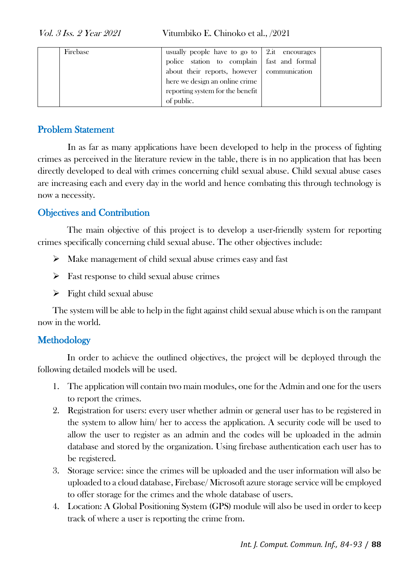| Firebase | usually people have to go to $\vert$ 2.it encourages |  |
|----------|------------------------------------------------------|--|
|          | police station to complain fast and formal           |  |
|          | about their reports, however   communication         |  |
|          | here we design an online crime                       |  |
|          | reporting system for the benefit                     |  |
|          | of public.                                           |  |

# Problem Statement

In as far as many applications have been developed to help in the process of fighting crimes as perceived in the literature review in the table, there is in no application that has been directly developed to deal with crimes concerning child sexual abuse. Child sexual abuse cases are increasing each and every day in the world and hence combating this through technology is now a necessity.

# Objectives and Contribution

The main objective of this project is to develop a user-friendly system for reporting crimes specifically concerning child sexual abuse. The other objectives include:

- ➢ Make management of child sexual abuse crimes easy and fast
- $\triangleright$  Fast response to child sexual abuse crimes
- $\triangleright$  Fight child sexual abuse

The system will be able to help in the fight against child sexual abuse which is on the rampant now in the world.

# **Methodology**

In order to achieve the outlined objectives, the project will be deployed through the following detailed models will be used.

- 1. The application will contain two main modules, one for the Admin and one for the users to report the crimes.
- 2. Registration for users: every user whether admin or general user has to be registered in the system to allow him/ her to access the application. A security code will be used to allow the user to register as an admin and the codes will be uploaded in the admin database and stored by the organization. Using firebase authentication each user has to be registered.
- 3. Storage service: since the crimes will be uploaded and the user information will also be uploaded to a cloud database, Firebase/ Microsoft azure storage service will be employed to offer storage for the crimes and the whole database of users.
- 4. Location: A Global Positioning System (GPS) module will also be used in order to keep track of where a user is reporting the crime from.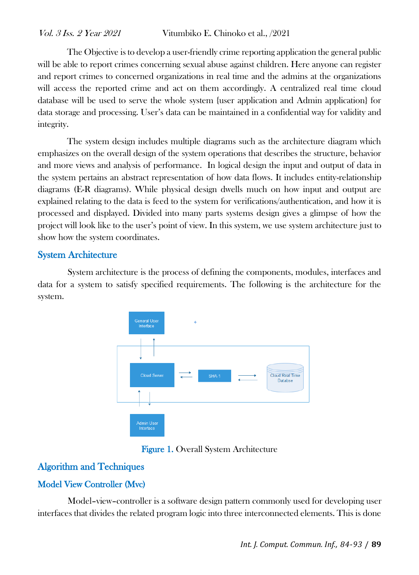The Objective is to develop a user-friendly crime reporting application the general public will be able to report crimes concerning sexual abuse against children. Here anyone can register and report crimes to concerned organizations in real time and the admins at the organizations will access the reported crime and act on them accordingly. A centralized real time cloud database will be used to serve the whole system {user application and Admin application} for data storage and processing. User's data can be maintained in a confidential way for validity and integrity.

The system design includes multiple diagrams such as the architecture diagram which emphasizes on the overall design of the system operations that describes the structure, behavior and more views and analysis of performance. In logical design the input and output of data in the system pertains an abstract representation of how data flows. It includes entity-relationship diagrams (E-R diagrams). While physical design dwells much on how input and output are explained relating to the data is feed to the system for verifications/authentication, and how it is processed and displayed. Divided into many parts systems design gives a glimpse of how the project will look like to the user's point of view. In this system, we use system architecture just to show how the system coordinates.

# System Architecture

System architecture is the process of defining the components, modules, interfaces and data for a system to satisfy specified requirements. The following is the architecture for the system.



Figure 1. Overall System Architecture

# Algorithm and Techniques

# Model View Controller (Mvc)

Model–view–controller is a software design pattern commonly used for developing user interfaces that divides the related program logic into three interconnected elements. This is done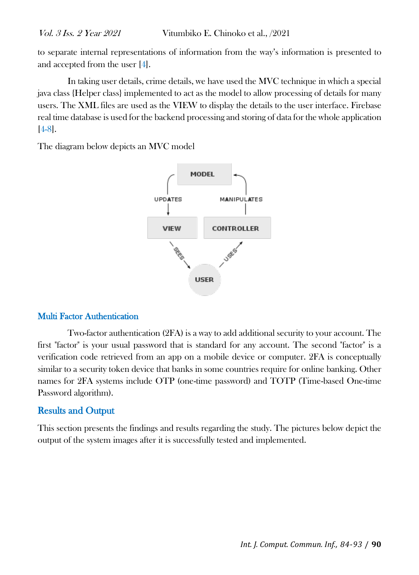to separate internal representations of information from the way's information is presented to and accepted from the user [4].

In taking user details, crime details, we have used the MVC technique in which a special java class {Helper class} implemented to act as the model to allow processing of details for many users. The XML files are used as the VIEW to display the details to the user interface. Firebase real time database is used for the backend processing and storing of data for the whole application [4-8].

The diagram below depicts an MVC model



#### Multi Factor Authentication

Two-factor authentication (2FA) is a way to add additional security to your account. The first "factor" is your usual password that is standard for any account. The second "factor" is a verification code retrieved from an app on a mobile device or computer. 2FA is conceptually similar to a security token device that banks in some countries require for online banking. Other names for 2FA systems include OTP (one-time password) and TOTP (Time-based One-time Password algorithm).

# Results and Output

This section presents the findings and results regarding the study. The pictures below depict the output of the system images after it is successfully tested and implemented.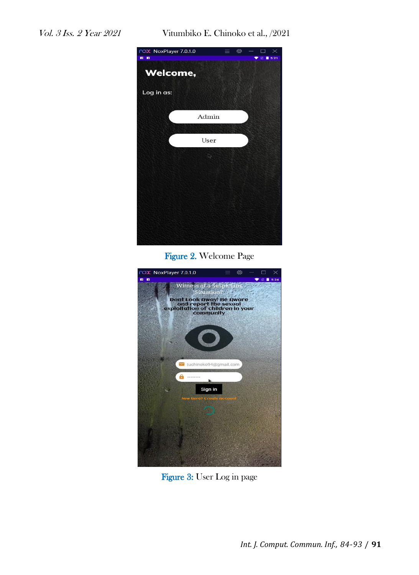

Figure 2. Welcome Page



Figure 3: User Log in page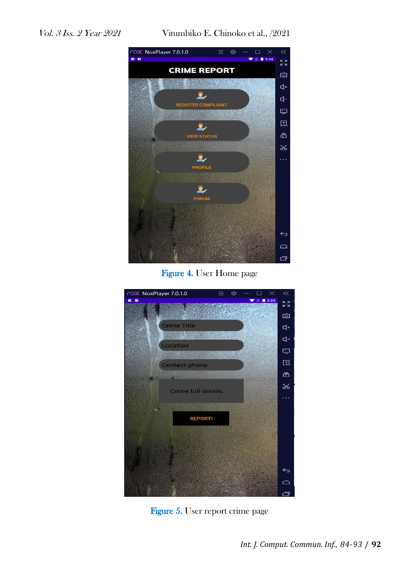

Figure 4. User Home page